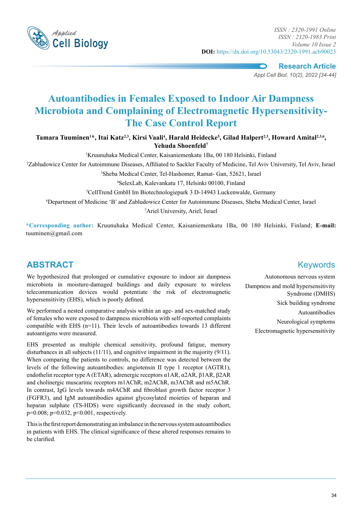

*Applied ISSN : 2320-1991 Online ISSN : 2320-1983 Print Volume 10 Issue 2* **DOI:** https://dx.doi.org/10.53043/2320-1991.acb90023

**Research Article**

*Appl Cell Biol, 10(2), 2022 [34-44]*

# **Autoantibodies in Females Exposed to Indoor Air Dampness Microbiota and Complaining of Electromagnetic Hypersensitivity-The Case Control Report**

Tamara Tuuminen<sup>1\*</sup>, Itai Katz<sup>2,3</sup>, Kirsi Vaali<sup>4</sup>, Harald Heidecke<sup>5</sup>, Gilad Halpert<sup>2,3</sup>, Howard Amital<sup>2,3,6</sup>, **Yehuda Shoenfeld7**

1 Kruunuhaka Medical Center, Kaisaniemenkatu 1Ba, 00 180 Helsinki, Finland

2 Zabludowicz Center for Autoimmune Diseases, Affiliated to Sackler Faculty of Medicine, Tel Aviv University, Tel Aviv, Israel

3 Sheba Medical Center, Tel-Hashomer, Ramat- Gan, 52621, Israel

4 SelexLab, Kalevankatu 17, Helsinki 00100, Finland

5 CellTrend GmbH Im Biotechnologiepark 3 D-14943 Luckenwalde, Germany

6 Department of Medicine 'B' and Zabludowicz Center for Autoimmune Diseases, Sheba Medical Center, Israel 7 Ariel University, Ariel, Israel

**\*Corresponding author:** Kruunuhaka Medical Center, Kaisaniemenkatu 1Ba, 00 180 Helsinki, Finland; **E-mail:**  tuuminen@gmail.com

# **ABSTRACT** Keywords

We hypothesized that prolonged or cumulative exposure to indoor air dampness microbiota in moisture-damaged buildings and daily exposure to wireless telecommunication devices would potentiate the risk of electromagnetic hypersensitivity (EHS), which is poorly defined.

We performed a nested comparative analysis within an age- and sex-matched study of females who were exposed to dampness microbiota with self-reported complaints compatible with EHS (n=11). Their levels of autoantibodies towards 13 different autoantigens were measured.

EHS presented as multiple chemical sensitivity, profound fatigue, memory disturbances in all subjects (11/11), and cognitive impairment in the majority (9/11). When comparing the patients to controls, no difference was detected between the levels of the following autoantibodies: angiotensin II type 1 receptor (AGTR1), endothelin receptor type A (ETAR), adrenergic receptors α1AR, α2AR, β1AR, β2AR and cholinergic muscarinic receptors m1AChR, m2AChR, m3AChR and m5AChR. In contrast, IgG levels towards m4AChR and fibroblast growth factor receptor 3 (FGFR3), and IgM autoantibodies against glycosylated moieties of heparan and heparan sulphate (TS-HDS) were significantly decreased in the study cohort, p=0.008; p=0.032, p<0.001, respectively.

This is the first report demonstrating an imbalance in the nervous system autoantibodies in patients with EHS. The clinical significance of these altered responses remains to be clarified.

Autonomous nervous system Dampness and mold hypersensitivity Syndrome (DMHS) Sick building syndrome Autoantibodies Neurological symptoms Electromagnetic hypersensitivity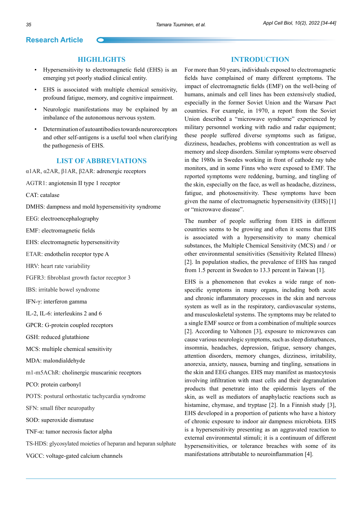#### **Highlights**

- Hypersensitivity to electromagnetic field (EHS) is an emerging yet poorly studied clinical entity.
- EHS is associated with multiple chemical sensitivity, profound fatigue, memory, and cognitive impairment.
- Neurologic manifestations may be explained by an imbalance of the autonomous nervous system.
- Determination of autoantibodies towards neuroreceptors and other self-antigens is a useful tool when clarifying the pathogenesis of EHS.

#### **List of abbreviations**

α1AR, α2AR, β1AR, β2AR: adrenergic receptors

AGTR1: angiotensin II type 1 receptor

CAT: catalase

DMHS: dampness and mold hypersensitivity syndrome

EEG: electroencephalography

EMF: electromagnetic fields

EHS: electromagnetic hypersensitivity

ETAR: endothelin receptor type A

HRV: heart rate variability

FGFR3: fibroblast growth factor receptor 3

IBS: irritable bowel syndrome

IFN-γ: interferon gamma

IL-2, IL-6: interleukins 2 and 6

GPCR: G-protein coupled receptors

GSH: reduced glutathione

MCS: multiple chemical sensitivity

MDA: malondialdehyde

m1-m5AChR: cholinergic muscarinic receptors

PCO: protein carbonyl

POTS: postural orthostatic tachycardia syndrome

SFN: small fiber neuropathy

SOD: superoxide dismutase

TNF-α: tumor necrosis factor alpha

TS-HDS: glycosylated moieties of heparan and heparan sulphate

VGCC: voltage-gated calcium channels

#### **Introduction**

For more than 50 years, individuals exposed to electromagnetic fields have complained of many different symptoms. The impact of electromagnetic fields (EMF) on the well-being of humans, animals and cell lines has been extensively studied, especially in the former Soviet Union and the Warsaw Pact countries. For example, in 1970, a report from the Soviet Union described a "microwave syndrome" experienced by military personnel working with radio and radar equipment; these people suffered diverse symptoms such as fatigue, dizziness, headaches, problems with concentration as well as memory and sleep disorders. Similar symptoms were observed in the 1980s in Swedes working in front of cathode ray tube monitors, and in some Finns who were exposed to EMF. The reported symptoms were reddening, burning, and tingling of the skin, especially on the face, as well as headache, dizziness, fatigue, and photosensitivity. These symptoms have been given the name of electromagnetic hypersensitivity (EHS) [1] or "microwave disease".

The number of people suffering from EHS in different countries seems to be growing and often it seems that EHS is associated with a hypersensitivity to many chemical substances, the Multiple Chemical Sensitivity (MCS) and / or other environmental sensitivities (Sensitivity Related Illness) [2]. In population studies, the prevalence of EHS has ranged from 1.5 percent in Sweden to 13.3 percent in Taiwan [1].

EHS is a phenomenon that evokes a wide range of nonspecific symptoms in many organs, including both acute and chronic inflammatory processes in the skin and nervous system as well as in the respiratory, cardiovascular systems, and musculoskeletal systems. The symptoms may be related to a single EMF source or from a combination of multiple sources [2]. According to Valtonen [3], exposure to microwaves can cause various neurologic symptoms, such as sleep disturbances, insomnia, headaches, depression, fatigue, sensory changes, attention disorders, memory changes, dizziness, irritability, anorexia, anxiety, nausea, burning and tingling, sensations in the skin and EEG changes. EHS may manifest as mastocytosis involving infiltration with mast cells and their degranulation products that penetrate into the epidermis layers of the skin, as well as mediators of anaphylactic reactions such as histamine, chymase, and tryptase [2]. In a Finnish study [3], EHS developed in a proportion of patients who have a history of chronic exposure to indoor air dampness microbiota. EHS is a hypersensitivity presenting as an aggravated reaction to external environmental stimuli; it is a continuum of different hypersensitivities, or tolerance breaches with some of its manifestations attributable to neuroinflammation [4].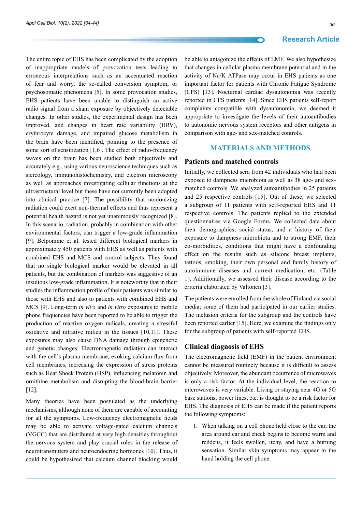The entire topic of EHS has been complicated by the adoption of inappropriate models of provocation tests leading to erroneous interpretations such as an accentuated reaction of fear and worry, the so-called conversion symptom, or psychosomatic phenomena [5]. In some provocation studies, EHS patients have been unable to distinguish an active radio signal from a sham exposure by objectively detectable changes. In other studies, the experimental design has been improved, and changes in heart rate variability (HRV), erythrocyte damage, and impaired glucose metabolism in the brain have been identified, pointing to the presence of some sort of sensitization [1,6]. The effect of radio-frequency waves on the brain has been studied both objectively and accurately e.g., using various neuroscience techniques such as stereology, immunohistochemistry, and electron microscopy as well as approaches investigating cellular functions at the ultrastructural level but these have not currently been adopted into clinical practice [7]. The possibility that nonionizing radiation could exert non-thermal effects and thus represent a potential health hazard is not yet unanimously recognized [8]. In this scenario, radiation, probably in combination with other environmental factors, can trigger a low-grade inflammation [9]. Belpomme et al. tested different biological markers in approximately 450 patients with EHS as well as patients with combined EHS and MCS and control subjects. They found that no single biological marker would be elevated in all patients, but the combination of markers was suggestive of an insidious low-grade inflammation. It is noteworthy that in their studies the inflammation profile of their patients was similar to those with EHS and also to patients with combined EHS and MCS [9]. Long-term *in vivo* and *in vitro* exposures to mobile phone frequencies have been reported to be able to trigger the production of reactive oxygen radicals, creating a stressful oxidative and nitrative milieu in the tissues [10,11]. These exposures may also cause DNA damage through epigenetic and genetic changes. Electromagnetic radiation can interact with the cell's plasma membrane, evoking calcium flux from cell membranes, increasing the expression of stress proteins such as Heat Shock Protein (HSP), influencing melatonin and ornithine metabolism and disrupting the blood-brain barrier [12].

Many theories have been postulated as the underlying mechanisms, although none of them are capable of accounting for all the symptoms. Low-frequency electromagnetic fields may be able to activate voltage-gated calcium channels (VGCC) that are distributed at very high densities throughout the nervous system and play crucial roles in the release of neurotransmitters and neuroendocrine hormones [10]. Thus, it could be hypothesized that calcium channel blocking would

be able to antagonize the effects of EMF. We also hypothesize that changes in cellular plasma membrane potential and in the activity of Na/K ATPase may occur in EHS patients as one important factor for patients with Chronic Fatigue Syndrome (CFS) [13]. Nocturnal cardiac dysautonomia was recently reported in CFS patients [14]. Since EHS patients self-report complaints compatible with dysautonomia, we deemed it appropriate to investigate the levels of their autoantibodies to autonomic nervous system receptors and other antigens in comparison with age- and sex-matched controls.

#### **Materials and methods**

#### **Patients and matched controls**

Initially, we collected sera from 42 individuals who had been exposed to dampness microbiota as well as 38 age- and sexmatched controls. We analyzed autoantibodies in 25 patients and 25 respective controls [15]. Out of these, we selected a subgroup of 11 patients with self-reported EHS and 11 respective controls. The patients replied to the extended questionnaires via Google Forms. We collected data about their demographics, social status, and a history of their exposure to dampness microbiota and to strong EMF, their co-morbidities, conditions that might have a confounding effect on the results such as silicone breast implants, tattoos, smoking, their own personal and family history of autoimmune diseases and current medication, etc. (Table 1). Additionally, we assessed their disease according to the criteria elaborated by Valtonen [3].

The patients were enrolled from the whole of Finland via social media; some of them had participated in our earlier studies. The inclusion criteria for the subgroup and the controls have been reported earlier [15]. Here, we examine the findings only for the subgroup of patients with self-reported EHS.

#### **Clinical diagnosis of EHS**

The electromagnetic field (EMF) in the patient environment cannot be measured routinely because it is difficult to assess objectively. Moreover, the abundant occurrence of microwaves is only a risk factor. At the individual level, the reaction to microwaves is very variable. Living or staying near 4G or 5G base stations, power lines, etc. is thought to be a risk factor for EHS. The diagnosis of EHS can be made if the patient reports the following symptoms:

1. When talking on a cell phone held close to the ear, the area around ear and cheek begins to become warm and reddens, it feels swollen, itchy, and have a burning sensation. Similar skin symptoms may appear in the hand holding the cell phone.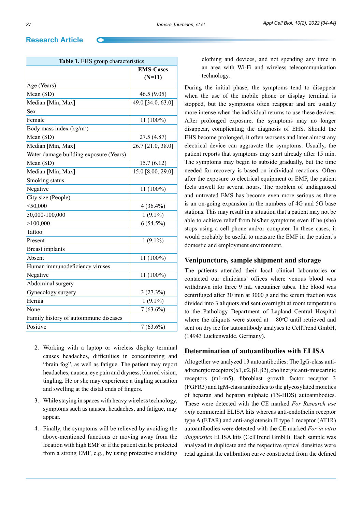| Table 1. EHS group characteristics     |                   |  |  |  |  |  |  |  |  |
|----------------------------------------|-------------------|--|--|--|--|--|--|--|--|
|                                        | <b>EMS-Cases</b>  |  |  |  |  |  |  |  |  |
|                                        | $(N=11)$          |  |  |  |  |  |  |  |  |
| Age (Years)                            |                   |  |  |  |  |  |  |  |  |
| Mean (SD)                              | 46.5(9.05)        |  |  |  |  |  |  |  |  |
| Median [Min, Max]                      | 49.0 [34.0, 63.0] |  |  |  |  |  |  |  |  |
| Sex                                    |                   |  |  |  |  |  |  |  |  |
| Female                                 | 11 (100%)         |  |  |  |  |  |  |  |  |
| Body mass index $(kg/m2)$              |                   |  |  |  |  |  |  |  |  |
| Mean (SD)                              | 27.5 (4.87)       |  |  |  |  |  |  |  |  |
| Median [Min, Max]                      | 26.7 [21.0, 38.0] |  |  |  |  |  |  |  |  |
| Water damage building exposure (Years) |                   |  |  |  |  |  |  |  |  |
| Mean (SD)                              | 15.7(6.12)        |  |  |  |  |  |  |  |  |
| Median [Min, Max]                      | 15.0 [8.00, 29.0] |  |  |  |  |  |  |  |  |
| Smoking status                         |                   |  |  |  |  |  |  |  |  |
| Negative                               | 11 (100%)         |  |  |  |  |  |  |  |  |
| City size (People)                     |                   |  |  |  |  |  |  |  |  |
| $<$ 50,000                             | $4(36.4\%)$       |  |  |  |  |  |  |  |  |
| 50,000-100,000                         | $1(9.1\%)$        |  |  |  |  |  |  |  |  |
| >100,000                               | 6(54.5%)          |  |  |  |  |  |  |  |  |
| Tattoo                                 |                   |  |  |  |  |  |  |  |  |
| Present                                | $1(9.1\%)$        |  |  |  |  |  |  |  |  |
| <b>Breast</b> implants                 |                   |  |  |  |  |  |  |  |  |
| Absent                                 | 11 (100%)         |  |  |  |  |  |  |  |  |
| Human immunodeficiency viruses         |                   |  |  |  |  |  |  |  |  |
| Negative                               | 11 (100%)         |  |  |  |  |  |  |  |  |
| Abdominal surgery                      |                   |  |  |  |  |  |  |  |  |
| Gynecology surgery                     | 3(27.3%)          |  |  |  |  |  |  |  |  |
| Hernia                                 | $1(9.1\%)$        |  |  |  |  |  |  |  |  |
| None                                   | $7(63.6\%)$       |  |  |  |  |  |  |  |  |
| Family history of autoimmune diseases  |                   |  |  |  |  |  |  |  |  |
| Positive                               | $7(63.6\%)$       |  |  |  |  |  |  |  |  |
|                                        |                   |  |  |  |  |  |  |  |  |

- 2. Working with a laptop or wireless display terminal causes headaches, difficulties in concentrating and "brain fog", as well as fatigue. The patient may report headaches, nausea, eye pain and dryness, blurred vision, tingling. He or she may experience a tingling sensation and swelling at the distal ends of fingers.
- 3. While staying in spaces with heavy wireless technology, symptoms such as nausea, headaches, and fatigue, may appear.
- 4. Finally, the symptoms will be relieved by avoiding the above-mentioned functions or moving away from the location with high EMF or if the patient can be protected from a strong EMF, e.g., by using protective shielding

clothing and devices, and not spending any time in an area with Wi-Fi and wireless telecommunication technology.

During the initial phase, the symptoms tend to disappear when the use of the mobile phone or display terminal is stopped, but the symptoms often reappear and are usually more intense when the individual returns to use these devices. After prolonged exposure, the symptoms may no longer disappear, complicating the diagnosis of EHS. Should the EHS become prolonged, it often worsens and later almost any electrical device can aggravate the symptoms. Usually, the patient reports that symptoms may start already after 15 min. The symptoms may begin to subside gradually, but the time needed for recovery is based on individual reactions. Often after the exposure to electrical equipment or EMF, the patient feels unwell for several hours. The problem of undiagnosed and untreated EMS has become even more serious as there is an on-going expansion in the numbers of 4G and 5G base stations. This may result in a situation that a patient may not be able to achieve relief from his/her symptoms even if he (she) stops using a cell phone and/or computer. In these cases, it would probably be useful to measure the EMF in the patient's domestic and employment environment.

#### **Venipuncture, sample shipment and storage**

The patients attended their local clinical laboratories or contacted our clinicians' offices where venous blood was withdrawn into three 9 mL vacutainer tubes. The blood was centrifuged after 30 min at 3000 g and the serum fraction was divided into 3 aliquots and sent overnight at room temperature to the Pathology Department of Lapland Central Hospital where the aliquots were stored at  $-$  80 $\degree$ C until retrieved and sent on dry ice for autoantibody analyses to CellTrend GmbH, (14943 Luckenwalde, Germany).

#### **Determination of autoantibodies with ELISA**

Altogether we analyzed 13 autoantibodies: The IgG-class antiadrenergic receptors  $(\alpha1, \alpha2, \beta1, \beta2)$ , cholinergic anti-muscarinic receptors (m1-m5), fibroblast growth factor receptor 3 (FGFR3) and IgM-class antibodies to the glycosylated moieties of heparan and heparan sulphate (TS-HDS) autoantibodies. These were detected with the CE marked *For Research use only* commercial ELISA kits whereas anti-endothelin receptor type A (ETAR) and anti-angiotensin II type 1 receptor (AT1R) autoantibodies were detected with the CE marked *For in vitro diagnostics* ELISA kits (CellTrend GmbH). Each sample was analyzed in duplicate and the respective optical densities were read against the calibration curve constructed from the defined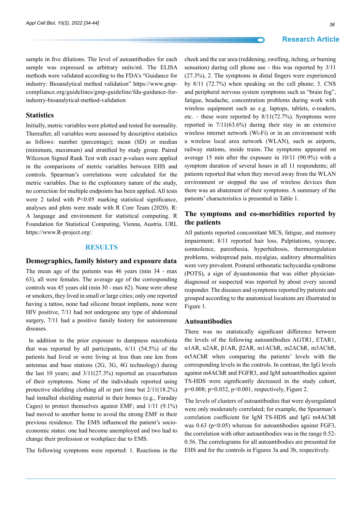sample in five dilutions. The level of autoantibodies for each sample was expressed as arbitrary units/ml. The ELISA methods were validated according to the FDA's "Guidance for industry: Bioanalytical method validation" [https://www.gmp](https://www.gmp-compliance.org/guidelines/gmp-guideline/fda-guidance-for-industry-bioanalytical-method-validation)[compliance.org/guidelines/gmp-guideline/fda-guidance-for](https://www.gmp-compliance.org/guidelines/gmp-guideline/fda-guidance-for-industry-bioanalytical-method-validation)[industry-bioanalytical-method-validation](https://www.gmp-compliance.org/guidelines/gmp-guideline/fda-guidance-for-industry-bioanalytical-method-validation)

#### **Statistics**

Initially, metric variables were plotted and tested for normality. Thereafter, all variables were assessed by descriptive statistics as follows: number (percentage); mean (SD) or median (minimum, maximum) and stratified by study group. Paired Wilcoxon Signed Rank Test with exact p-values were applied in the comparisons of metric variables between EHS and controls. Spearman's correlations were calculated for the metric variables. Due to the exploratory nature of the study, no correction for multiple endpoints has been applied. All tests were 2 tailed with P<0.05 marking statistical significance, analyses and plots were made with R Core Team (2020). R: A language and environment for statistical computing. R Foundation for Statistical Computing, Vienna, Austria. URL <https://www.R-project.org/>.

#### **Results**

#### **Demographics, family history and exposure data**

The mean age of the patients was 46 years (min 34 - max 63), all were females. The average age of the corresponding controls was 45 years old (min 30 - max 62). None were obese or smokers, they lived in small or large cities; only one reported having a tattoo, none had silicone breast implants, none were HIV positive, 7/11 had not undergone any type of abdominal surgery,  $7/11$  had a positive family history for autoimmune diseases.

 In addition to the prior exposure to dampness microbiota that was reported by all participants, 6/11 (54.5%) of the patients had lived or were living at less than one km from antennas and base stations (2G, 3G, 4G technology) during the last 10 years; and 3/11(27.3%) reported an exacerbation of their symptoms. None of the individuals reported using protective shielding clothing all or part time but 2/11(18.2%) had installed shielding material in their homes (e.g., Faraday Cages) to protect themselves against EMF; and 1/11 (9.1%) had moved to another home to avoid the strong EMF in their previous residence. The EMS influenced the patient's socioeconomic status: one had become unemployed and two had to change their profession or workplace due to EMS.

The following symptoms were reported: 1. Reactions in the

#### **Research Article**

cheek and the ear area (reddening, swelling, itching, or burning sensation) during cell phone use - this was reported by 3/11 (27.3%), 2. The symptoms in distal fingers were experienced by 8/11 (72.7%) when speaking on the cell phone; 3. CNS and peripheral nervous system symptoms such as "brain fog", fatigue, headache, concentration problems during work with wireless equipment such as e.g. laptops, tablets, e-readers, etc. – these were reported by 8/11(72.7%). Symptoms were reported in 7/11(63.6%) during their stay in an extensive wireless internet network (Wi-Fi) or in an environment with a wireless local area network (WLAN), such as airports, railway stations, inside trains. The symptoms appeared on average 15 min after the exposure in 10/11 (90.9%) with a symptom duration of several hours in all 11 respondents; all patients reported that when they moved away from the WLAN environment or stopped the use of wireless devices then there was an abatement of their symptoms. A summary of the patients' characteristics is presented in Table 1.

## **The symptoms and co-morbidities reported by the patients**

All patients reported concomitant MCS, fatigue, and memory impairment; 8/11 reported hair loss. Palpitations, syncope, somnolence, paresthesia, hyperhidrosis, thermoregulation problems, widespread pain, myalgias, auditory abnormalities were very prevalent. Postural orthostatic tachycardia syndrome (POTS), a sign of dysautonomia that was either physiciandiagnosed or suspected was reported by about every second responder. The diseases and symptoms reported by patients and grouped according to the anatomical locations are illustrated in Figure 1.

#### **Autoantibodies**

There was no statistically significant difference between the levels of the following autoantibodies AGTR1, ETAR1, α1AR, α2AR, β1AR, β2AR, m1AChR, m2AChR, m3AChR, m5AChR when comparing the patients' levels with the corresponding levels in the controls. In contrast, the IgG levels against m4AChR and FGFR3, and IgM autoantibodies against TS-HDS were significantly decreased in the study cohort, p=0.008; p=0.032, p<0.001, respectively, Figure 2.

The levels of clusters of autoantibodies that were dysregulated were only moderately correlated; for example, the Spearman's correlation coefficient for IgM TS-HDS and IgG m4AChR was  $0.63$  (p<0.05) whereas for autoantibodies against FGF3, the correlation with other autoantibodies was in the range 0.52- 0.56. The correlograms for all autoantibodies are presented for EHS and for the controls in Figures 3a and 3b, respectively.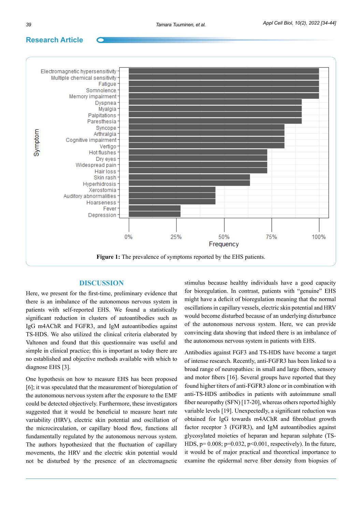

#### **Discussion**

Here, we present for the first-time, preliminary evidence that there is an imbalance of the autonomous nervous system in patients with self-reported EHS. We found a statistically significant reduction in clusters of autoantibodies such as IgG m4AChR and FGFR3, and IgM autoantibodies against TS-HDS. We also utilized the clinical criteria elaborated by Valtonen and found that this questionnaire was useful and simple in clinical practice; this is important as today there are no established and objective methods available with which to diagnose EHS [3].

One hypothesis on how to measure EHS has been proposed [6]; it was speculated that the measurement of bioregulation of the autonomous nervous system after the exposure to the EMF could be detected objectively. Furthermore, these investigators suggested that it would be beneficial to measure heart rate variability (HRV), electric skin potential and oscillation of the microcirculation, or capillary blood flow, functions all fundamentally regulated by the autonomous nervous system. The authors hypothesized that the fluctuation of capillary movements, the HRV and the electric skin potential would not be disturbed by the presence of an electromagnetic

stimulus because healthy individuals have a good capacity for bioregulation. In contrast, patients with "genuine" EHS might have a deficit of bioregulation meaning that the normal oscillations in capillary vessels, electric skin potential and HRV would become disturbed because of an underlying disturbance of the autonomous nervous system. Here, we can provide convincing data showing that indeed there is an imbalance of the autonomous nervous system in patients with EHS.

Antibodies against FGF3 and TS-HDS have become a target of intense research. Recently, anti-FGFR3 has been linked to a broad range of neuropathies: in small and large fibers, sensory and motor fibers [16]. Several groups have reported that they found higher titers of anti-FGFR3 alone or in combination with anti-TS-HDS antibodies in patients with autoimmune small fiber neuropathy (SFN) [17-20], whereas others reported highly variable levels [19]. Unexpectedly, a significant reduction was obtained for IgG towards m4AChR and fibroblast growth factor receptor 3 (FGFR3), and IgM autoantibodies against glycosylated moieties of heparan and heparan sulphate (TS-HDS,  $p= 0.008$ ;  $p=0.032$ ,  $p<0.001$ , respectively). In the future, it would be of major practical and theoretical importance to examine the epidermal nerve fiber density from biopsies of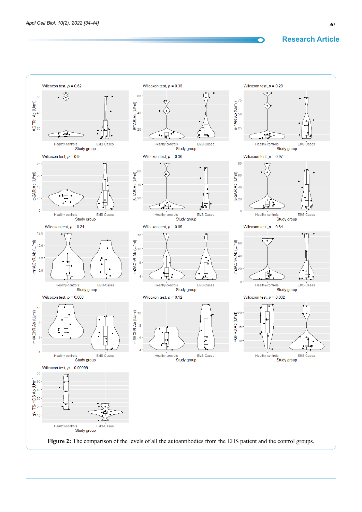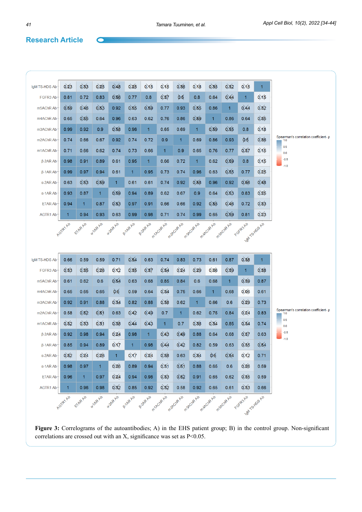$\bullet$ 

| IgM TS-HDS Ab                      | $0\overline{2}3$                                                                                                                                                                             | 0.83             | $0 \times 5$    | $0\overline{\lambda}8$ | 0,25             | $0\times 5$     | $0\times 5$            | 0,86            | $0 \times 8$ | 0,85         | 0,82                   | $0\times 5$          | 1                |                                                                                |
|------------------------------------|----------------------------------------------------------------------------------------------------------------------------------------------------------------------------------------------|------------------|-----------------|------------------------|------------------|-----------------|------------------------|-----------------|--------------|--------------|------------------------|----------------------|------------------|--------------------------------------------------------------------------------|
| FGFR3 Ab                           | 0.81                                                                                                                                                                                         | 0.72             | 0.83            | 0,86                   | 0.77             | 0.8             | 0,87                   | 0.6             | 0.8          | 0.64         | $0\overline{\lambda}4$ | 1                    | $0 \times 5$     |                                                                                |
| m5AChR Ab                          | 0,89                                                                                                                                                                                         | $0\overline{A6}$ | $0 \times 3$    | 0.92                   | 0,85             | 0,89            | 0.77                   | 0.93            | 0,85         | 0.86         | 1.                     | $0\lambda44$         | 0,82             |                                                                                |
| m4AChR Ab                          | 0.65                                                                                                                                                                                         | 0,85             | 0.64            | 0.96                   | 0.63             | 0.62            | 0.76                   | 0.86            | 0,69         | 1            | 0.86                   | 0.64                 | $0\frac{8}{5}$   |                                                                                |
| m3AChR Ab                          | 0.99                                                                                                                                                                                         | 0.92             | 0.9             | 0,88                   | 0.96             | $\mathbf{1}$    | 0.65                   | 0.69            | 1            | $0 \times 9$ | $0\times 5$            | 0.8                  | $0\times8$       | Spearman's correlation coefficient- p<br>1.0<br>0.5<br>0.0<br>$-0.5$<br>$-1.0$ |
| m <sub>2</sub> ACh <sub>R</sub> Ab | 0.74                                                                                                                                                                                         | 0.66             | 0.67            | 0.92                   | 0.74             | 0.72            | 0.9                    | 1               | 0.69         | 0.86         | 0.93                   | 0.5                  | 0,86             |                                                                                |
| m1AChR Ab                          | 0.71                                                                                                                                                                                         | 0.66             | 0.62            | 0.74                   | 0.73             | 0.66            | $\mathbf{1}$           | 0.9             | 0.65         | 0.76         | 0.77                   | 0,87                 | $0\times 5$      |                                                                                |
| $\beta$ -2AR Ab                    | 0.98                                                                                                                                                                                         | 0.91             | 0.89            | 0.61                   | 0.95             | 1               | 0.66                   | 0.72            | 1            | 0.62         | 0,89                   | 0.8                  | $0 \times 5$     |                                                                                |
| $\beta$ -1AR Ab                    | 0.99                                                                                                                                                                                         | 0.97             | 0.94            | 0.61                   | 1                | 0.95            | 0.73                   | 0.74            | 0.96         | 0.63         | 0/55                   | 0.77                 | $0 \times 5$     |                                                                                |
| $\alpha$ -2AR Ab                   | 0.63                                                                                                                                                                                         | $0 \times 3$     | 0,89            | $\mathbf{1}$           | 0.61             | 0.61            | 0.74                   | 0.92            | 0,88         | 0.96         | 0.92                   | $0\%6$               | $0 \cancel{10}$  |                                                                                |
| $\alpha$ -1AR Ab                   | 0.93                                                                                                                                                                                         | 0.87             | 1               | 0,89                   | 0.94             | 0.89            | 0.62                   | 0.67            | 0.9          | 0.64         | 0/53                   | 0.83                 | $0 \times 5$     |                                                                                |
| <b>ETAR Ab</b>                     | 0.94                                                                                                                                                                                         | 1                | 0.87            | 0,83                   | 0.97             | 0.91            | 0.66                   | 0.66            | 0.92         | 0,85         | $0 \cancel{4} 6$       | 0.72                 | 0,83             |                                                                                |
| AGTR1 Ab                           | 1                                                                                                                                                                                            | 0.94             | 0.93            | 0.63                   | 0.99             | 0.98            | 0.71                   | 0.74            | 0.99         | 0.65         | 0,59                   | 0.81                 | $0\overline{2}3$ |                                                                                |
|                                    | AGTRYAL<br>EIARAN<br>or hRR AV<br>or.24R AV<br>Pape Av<br>FOFR3AD<br>PIARANT<br>m <sup>12</sup> C/R-A10<br>m20-ch2 A20<br>m300/RAN<br>mapoike Av<br>msporte <sub>Avo</sub><br>ight States Av |                  |                 |                        |                  |                 |                        |                 |              |              |                        |                      |                  |                                                                                |
|                                    |                                                                                                                                                                                              |                  |                 |                        |                  |                 |                        |                 |              |              |                        |                      |                  |                                                                                |
|                                    |                                                                                                                                                                                              |                  |                 |                        |                  |                 |                        |                 |              |              |                        |                      |                  |                                                                                |
| IgM TS-HDS Ab                      | 0.66                                                                                                                                                                                         | 0.59             | 0.59            | 0.71                   | 0.84             | 0.63            | 0.74                   | 0.83            | 0.73         | 0.61         | 0.87                   | 0,88                 | 1                |                                                                                |
| FGFR3 Ab                           | 0,83                                                                                                                                                                                         | 0,85             | $0\frac{1}{26}$ | $0 \times 2$           | 0,85             | 0,87            | 0,84                   | $0 \times 4$    | 0,29         | 0,06         | 0,89                   | 1                    | 0,88             |                                                                                |
| m5AChR Ab                          | 0.61                                                                                                                                                                                         | 0.62             | 0.6             | 0,84                   | 0.63             | 0.68            | 0.85                   | 0.84            | 0.6          | 0.68         | 1.                     | 0,89                 | 0.87             |                                                                                |
| m4AChR Ab                          | 0.65                                                                                                                                                                                         | 0.65             | 0.65            | 0.6                    | 0.59             | 0.64            | 0,84                   | 0.75            | 0.66         | 1            | 0.68                   | $0$ <sub>0</sub> $6$ | 0.61             |                                                                                |
| m3AChR Ab                          | 0.92                                                                                                                                                                                         | 0.91             | 0.88            | 0,84                   | 0.82             | 0.88            | 0,88                   | 0.62            | 1            | 0.66         | 0.6                    | $0 \times 9$         | 0.73             |                                                                                |
| m <sub>2</sub> ACh <sub>R</sub> Ab | 0.58                                                                                                                                                                                         | 0,82             | $0 \times 1$    | 0.63                   | $0 \cancel{4} 2$ | $0 \cancel{4}9$ | 0.7                    | 1.              | 0.62         | 0.75         | 0.84                   | $0 \times 4$         | 0.83             | Spearman's correlation coefficient- p<br>1.0                                   |
| m1AChR Ab                          | 0,82                                                                                                                                                                                         | 0.83             | $0 \times 1$    | 0,88                   | $0\overline{A4}$ | 0 <sub>43</sub> | $\mathbf{1}$           | 0.7             | 0,88         | 0,34         | 0.85                   | 0,84                 | 0.74             | 0.5<br>0.0                                                                     |
| $\beta$ -2AR Ab                    | 0.92                                                                                                                                                                                         | 0.98             | 0.94            | $0\frac{2}{4}$         | 0.98             | 1               | $0\overline{\lambda}3$ | $0 \cancel{A}9$ | 0.88         | 0.64         | 0.68                   | 0,87                 | 0.63             | $-0.5$<br>$-1.0$                                                               |
| $\beta$ -1AR Ab                    | 0.85                                                                                                                                                                                         | 0.94             | 0.89            | $0 \times 7$           | 1                | 0.98            | $0\cancel{44}$         | $0 \cancel{4}2$ | 0.82         | 0.59         | 0.63                   | 0,85                 | 0,84             |                                                                                |
| $\alpha$ -2AR Ab                   | 0/82                                                                                                                                                                                         | $0 \times 4$     | $0 \times 6$    | $\mathbf{1}$           | $0 \times 7$     | $0 \times 4$    | 0,88                   | 0.63            | 0,84         | $\delta$     | 0/64                   | $0 \times 2$         | 0.71             |                                                                                |
| $\alpha$ -1AR Ab                   | 0.98                                                                                                                                                                                         | 0.97             | $\mathbf{1}$    | $0 \times 6$           | 0.89             | 0.94            | 0/81                   | 0/51            | 0.88         | 0.65         | 0.6                    | $0 \times 6$         | 0.59             |                                                                                |
| <b>ETAR Ab</b>                     | 0.96                                                                                                                                                                                         | $\vert$ 1        | 0.97            | $0 \times 4$           | 0.94             | 0.98            | $0 \times 3$           | 0/62            | 0.91         | 0.65         | 0.62                   | 0,85                 | 0.59             |                                                                                |
| AGTR1 Ab                           | $\mathbf{1}$                                                                                                                                                                                 | 0.96             | 0.98            | 0,82                   | 0.85             | 0.92            | 0,82                   | 0.58            | 0.92         | 0.65         | 0.61                   | 0,83                 | 0.66             |                                                                                |
|                                    | Acres Ave                                                                                                                                                                                    | ETARANO          | or hRAND        | ozaprav                | PIARANT          | P3ARAB          | m <sup>12</sup> CIA-A2 | m2018-A-20      | mageira Av   | machine Av   | msecke Ab              | FORR3AD              | ist Textos Av    |                                                                                |

Figure 3: Correlograms of the autoantibodies; A) in the EHS patient group; B) in the control group. Non-significant correlations are crossed out with an X, significance was set as P<0.05.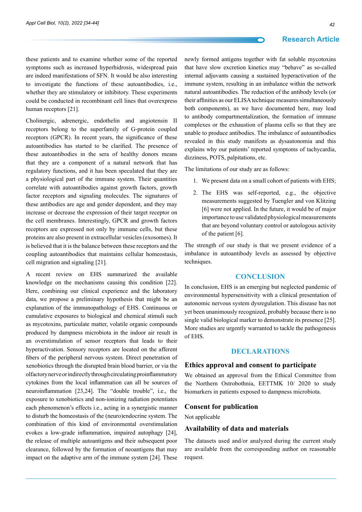these patients and to examine whether some of the reported symptoms such as increased hyperhidrosis, widespread pain are indeed manifestations of SFN. It would be also interesting to investigate the functions of these autoantibodies, i.e., whether they are stimulatory or inhibitory. These experiments could be conducted in recombinant cell lines that overexpress human receptors [21].

Cholinergic, adrenergic, endothelin and angiotensin II receptors belong to the superfamily of G-protein coupled receptors (GPCR). In recent years, the significance of these autoantibodies has started to be clarified. The presence of these autoantibodies in the sera of healthy donors means that they are a component of a natural network that has regulatory functions, and it has been speculated that they are a physiological part of the immune system. Their quantities correlate with autoantibodies against growth factors, growth factor receptors and signaling molecules. The signatures of these antibodies are age and gender dependent, and they may increase or decrease the expression of their target receptor on the cell membranes. Interestingly, GPCR and growth factors receptors are expressed not only by immune cells, but these proteins are also present in extracellular vesicles (exosomes). It is believed that it is the balance between these receptors and the coupling autoantibodies that maintains cellular homeostasis, cell migration and signaling [21].

A recent review on EHS summarized the available knowledge on the mechanisms causing this condition [22]. Here, combining our clinical experience and the laboratory data, we propose a preliminary hypothesis that might be an explanation of the immunopathology of EHS. Continuous or cumulative exposures to biological and chemical stimuli such as mycotoxins, particulate matter, volatile organic compounds produced by dampness microbiota in the indoor air result in an overstimulation of sensor receptors that leads to their hyperactivation. Sensory receptors are located on the afferent fibers of the peripheral nervous system. Direct penetration of xenobiotics through the disrupted brain blood barrier, or via the olfactory nerve or indirectly through circulating proinflammatory cytokines from the local inflammation can all be sources of neuroinflammation [23,24]. The "double trouble", i.e., the exposure to xenobiotics and non-ionizing radiation potentiates each phenomenon's effects i.e., acting in a synergistic manner to disturb the homeostasis of the (neuro)endocrine system. The combination of this kind of environmental overstimulation evokes a low-grade inflammation, impaired autophagy [24], the release of multiple autoantigens and their subsequent poor clearance, followed by the formation of neoantigens that may impact on the adaptive arm of the immune system [24]. These

newly formed antigens together with fat soluble mycotoxins that have slow excretion kinetics may "behave" as so-called internal adjuvants causing a sustained hyperactivation of the immune system, resulting in an imbalance within the network natural autoantibodies. The reduction of the antibody levels (or their affinities as our ELISA technique measures simultaneously both components), as we have documented here, may lead to antibody compartmentalization, the formation of immune complexes or the exhaustion of plasma cells so that they are unable to produce antibodies. The imbalance of autoantibodies revealed in this study manifests as dysautonomia and this explains why our patients' reported symptoms of tachycardia, dizziness, POTS, palpitations, etc.

The limitations of our study are as follows:

- 1. We present data on a small cohort of patients with EHS;
- 2. The EHS was self-reported, e.g., the objective measurements suggested by Tuengler and von Klitzing [6] were not applied. In the future, it would be of major importance to use validated physiological measurements that are beyond voluntary control or autologous activity of the patient [6].

The strength of our study is that we present evidence of a imbalance in autoantibody levels as assessed by objective techniques.

#### **Conclusion**

In conclusion, EHS is an emerging but neglected pandemic of environmental hypersensitivity with a clinical presentation of autonomic nervous system dysregulation. This disease has not yet been unanimously recognized, probably because there is no single valid biological marker to demonstrate its presence [25]. More studies are urgently warranted to tackle the pathogenesis of EHS.

### **Declarations**

#### **Ethics approval and consent to participate**

We obtained an approval from the Ethical Committee from the Northern Ostrobothnia, EETTMK 10/ 2020 to study biomarkers in patients exposed to dampness microbiota.

#### **Consent for publication**

Not applicable

#### **Availability of data and materials**

The datasets used and/or analyzed during the current study are available from the corresponding author on reasonable request.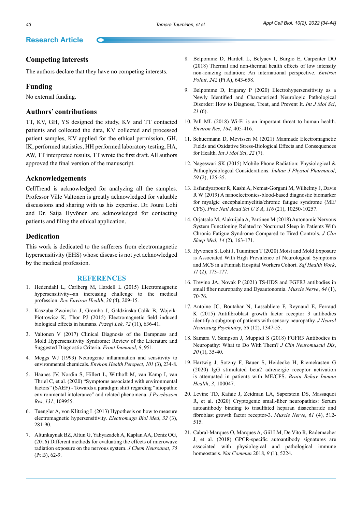## **Competing interests**

The authors declare that they have no competing interests.

#### **Funding**

No external funding.

#### **Authors' contributions**

TT, KV, GH, YS designed the study, KV and TT contacted patients and collected the data, KV collected and processed patient samples, KV applied for the ethical permission, GH, IK, performed statistics, HH performed laboratory testing, HA, AW, TT interpreted results, TT wrote the first draft. All authors approved the final version of the manuscript.

#### **Acknowledgements**

CellTrend is acknowledged for analyzing all the samples. Professor Ville Valtonen is greatly acknowledged for valuable discussions and sharing with us his expertise. Dr. Jouni Lohi and Dr. Saija Hyvönen are acknowledged for contacting patients and filing the ethical application.

### **Dedication**

This work is dedicated to the sufferers from electromagnetic hypersensitivity (EHS) whose disease is not yet acknowledged by the medical profession.

#### **References**

- 1. Hedendahl L, Carlberg M, Hardell L (2015) Electromagnetic hypersensitivity--an increasing challenge to the medical profession. *Rev Environ Health*, *30* (4), 209-15.
- 2. Kaszuba-Zwoinska J, Gremba J, Galdzinska-Calik B, Wojcik-Piotrowicz K, Thor PJ (2015) Electromagnetic field induced biological effects in humans. *Przegl Lek*, *72* (11), 636-41.
- 3. Valtonen V (2017) Clinical Diagnosis of the Dampness and Mold Hypersensitivity Syndrome: Review of the Literature and Suggested Diagnostic Criteria. *Front Immunol*, *8*, 951.
- 4. Meggs WJ (1993) Neurogenic inflammation and sensitivity to environmental chemicals. *Environ Health Perspect*, *101* (3), 234-8.
- 5. Haanes JV, Nordin S, Hillert L, Witthoft M, van Kamp I, van Thriel C, et al. (2020) "Symptoms associated with environmental factors" (SAEF) - Towards a paradigm shift regarding "idiopathic environmental intolerance" and related phenomena. *J Psychosom Res*, *131*, 109955.
- 6. Tuengler A, von Klitzing L (2013) Hypothesis on how to measure electromagnetic hypersensitivity. *Electromagn Biol Med*, *32* (3), 281-90.
- 7. Altunkaynak BZ, Altun G, Yahyazadeh A, Kaplan AA, Deniz OG, (2016) Different methods for evaluating the effects of microwave radiation exposure on the nervous system. *J Chem Neuroanat*, *75* (Pt B), 62-9.
- 8. Belpomme D, Hardell L, Belyaev I, Burgio E, Carpenter DO (2018) Thermal and non-thermal health effects of low intensity non-ionizing radiation: An international perspective. *Environ Pollut*, *242* (Pt A), 643-658.
- 9. Belpomme D, Irigaray P (2020) Electrohypersensitivity as a Newly Identified and Characterized Neurologic Pathological Disorder: How to Diagnose, Treat, and Prevent It. *Int J Mol Sci*, *21* (6).
- 10. Pall ML (2018) Wi-Fi is an important threat to human health. *Environ Res*, *164*, 405-416.
- 11. Schuermann D, Mevissen M (2021) Manmade Electromagnetic Fields and Oxidative Stress-Biological Effects and Consequences for Health. *Int J Mol Sci*, *22* (7).
- 12. Nageswari SK (2015) Mobile Phone Radiation: Physiological & Pathophysiologcal Considerations. *Indian J Physiol Pharmacol*, *59* (2), 125-35.
- 13. Esfandyarpour R, Kashi A, Nemat-Gorgani M, Wilhelmy J, Davis R W (2019) A nanoelectronics-blood-based diagnostic biomarker for myalgic encephalomyelitis/chronic fatigue syndrome (ME/ CFS). *Proc Natl Acad Sci U S A*, *116* (21), 10250-10257.
- 14. Orjatsalo M, Alakuijala A, Partinen M (2018) Autonomic Nervous System Functioning Related to Nocturnal Sleep in Patients With Chronic Fatigue Syndrome Compared to Tired Controls. *J Clin Sleep Med*, *14* (2), 163-171.
- 15. Hyvonen S, Lohi J, Tuuminen T (2020) Moist and Mold Exposure is Associated With High Prevalence of Neurological Symptoms and MCS in a Finnish Hospital Workers Cohort. *Saf Health Work*, *11* (2), 173-177.
- 16. Trevino JA, Novak P (2021) TS-HDS and FGFR3 antibodies in small fiber neuropathy and Dysautonomia. *Muscle Nerve*, *64* (1), 70-76.
- 17. Antoine JC, Boutahar N, Lassabliere F, Reynaud E, Ferraud K (2015) Antifibroblast growth factor receptor 3 antibodies identify a subgroup of patients with sensory neuropathy. *J Neurol Neurosurg Psychiatry*, *86* (12), 1347-55.
- 18. Samara V, Sampson J, Muppidi S (2018) FGFR3 Antibodies in Neuropathy: What to Do With Them? *J Clin Neuromuscul Dis*, *20* (1), 35-40.
- 19. Hartwig J, Sotzny F, Bauer S, Heidecke H, Riemekasten G (2020) IgG stimulated beta2 adrenergic receptor activation is attenuated in patients with ME/CFS. *Brain Behav Immun Health*, *3*, 100047.
- 20. Levine TD, Kafaie J, Zeidman LA, Saperstein DS, Massaquoi R, et al. (2020) Cryptogenic small-fiber neuropathies: Serum autoantibody binding to trisulfated heparan disaccharide and fibroblast growth factor receptor-3. *Muscle Nerve*, *61* (4), 512- 515.
- 21. Cabral-Marques O, Marques A, Giil LM, De Vito R, Rademacher J, et al. (2018) GPCR-specific autoantibody signatures are associated with physiological and pathological immune homeostasis. *Nat Commun* 2018, *9* (1), 5224.